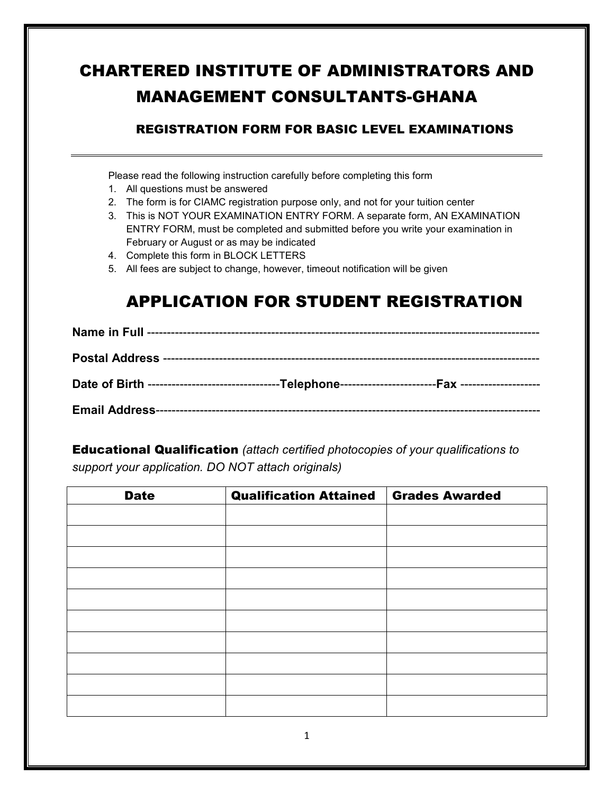## CHARTERED INSTITUTE OF ADMINISTRATORS AND MANAGEMENT CONSULTANTS-GHANA

### REGISTRATION FORM FOR BASIC LEVEL EXAMINATIONS

Please read the following instruction carefully before completing this form

- 1. All questions must be answered
- 2. The form is for CIAMC registration purpose only, and not for your tuition center
- 3. This is NOT YOUR EXAMINATION ENTRY FORM. A separate form, AN EXAMINATION ENTRY FORM, must be completed and submitted before you write your examination in February or August or as may be indicated
- 4. Complete this form in BLOCK LETTERS
- 5. All fees are subject to change, however, timeout notification will be given

## APPLICATION FOR STUDENT REGISTRATION

Educational Qualification *(attach certified photocopies of your qualifications to support your application. DO NOT attach originals)* 

| <b>Qualification Attained</b> | <b>Grades Awarded</b> |
|-------------------------------|-----------------------|
|                               |                       |
|                               |                       |
|                               |                       |
|                               |                       |
|                               |                       |
|                               |                       |
|                               |                       |
|                               |                       |
|                               |                       |
|                               |                       |
|                               |                       |
|                               |                       |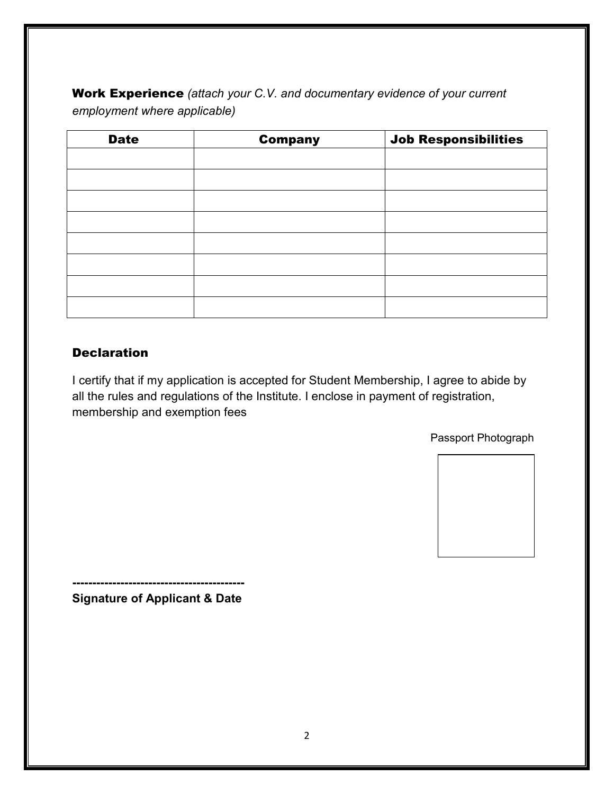Work Experience *(attach your C.V. and documentary evidence of your current employment where applicable)* 

| <b>Date</b> | <b>Company</b> | <b>Job Responsibilities</b> |
|-------------|----------------|-----------------------------|
|             |                |                             |
|             |                |                             |
|             |                |                             |
|             |                |                             |
|             |                |                             |
|             |                |                             |
|             |                |                             |
|             |                |                             |

#### **Declaration**

I certify that if my application is accepted for Student Membership, I agree to abide by all the rules and regulations of the Institute. I enclose in payment of registration, membership and exemption fees

Passport Photograph



**------------------------------------------- Signature of Applicant & Date**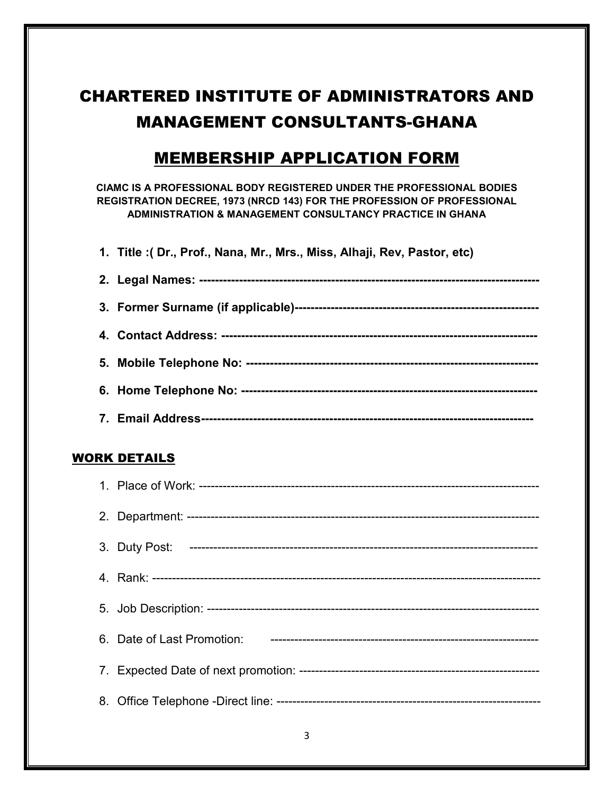# CHARTERED INSTITUTE OF ADMINISTRATORS AND MANAGEMENT CONSULTANTS-GHANA

## MEMBERSHIP APPLICATION FORM

**CIAMC IS A PROFESSIONAL BODY REGISTERED UNDER THE PROFESSIONAL BODIES REGISTRATION DECREE, 1973 (NRCD 143) FOR THE PROFESSION OF PROFESSIONAL ADMINISTRATION & MANAGEMENT CONSULTANCY PRACTICE IN GHANA** 

**1. Title :( Dr., Prof., Nana, Mr., Mrs., Miss, Alhaji, Rev, Pastor, etc)** 

#### WORK DETAILS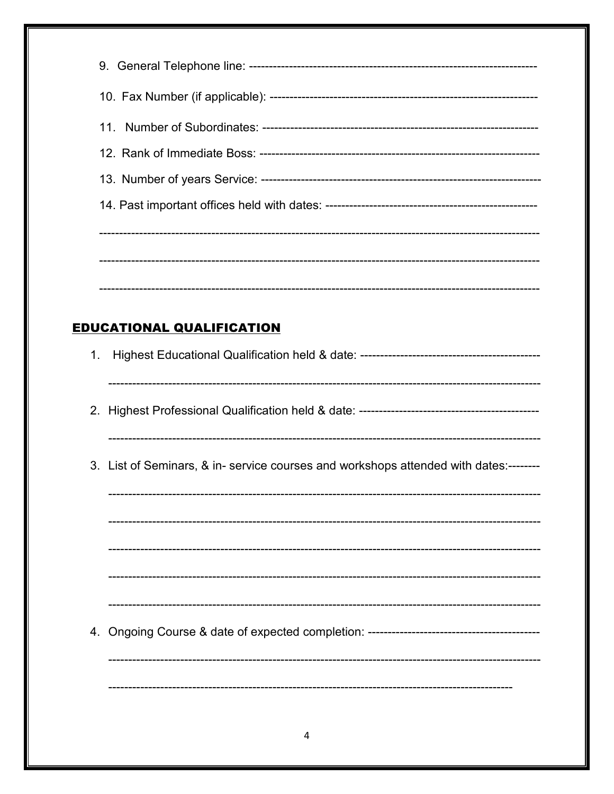|    | <b>EDUCATIONAL QUALIFICATION</b>                                                     |
|----|--------------------------------------------------------------------------------------|
| 1. |                                                                                      |
|    |                                                                                      |
|    | 3. List of Seminars, & in- service courses and workshops attended with dates:------- |
|    |                                                                                      |
|    |                                                                                      |
|    |                                                                                      |
|    |                                                                                      |
|    |                                                                                      |
|    |                                                                                      |
|    |                                                                                      |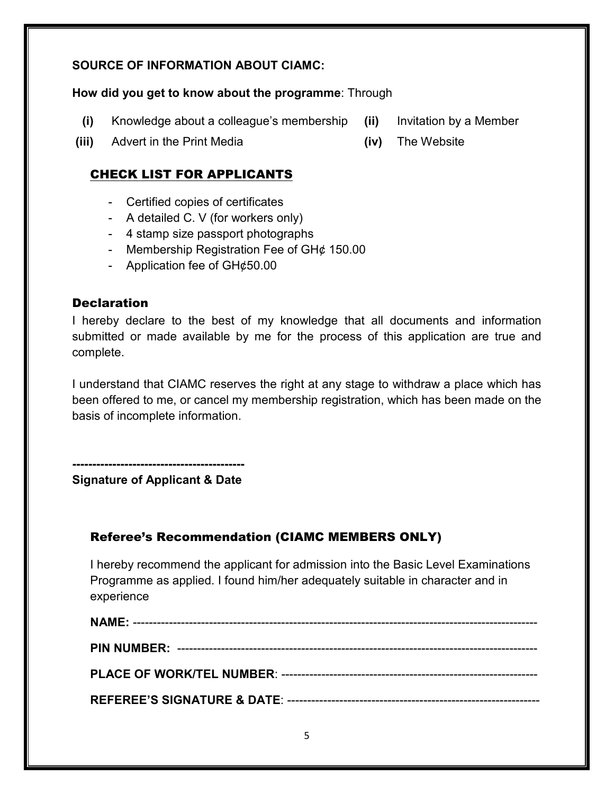#### **SOURCE OF INFORMATION ABOUT CIAMC:**

#### **How did you get to know about the programme**: Through

- **(i)** Knowledge about a colleague's membership **(ii)** Invitation by a Member
- **(iii)** Advert in the Print Media **(iv)** The Website

#### CHECK LIST FOR APPLICANTS

- Certified copies of certificates
- A detailed C. V (for workers only)
- 4 stamp size passport photographs
- Membership Registration Fee of GH¢ 150.00
- Application fee of GH¢50.00

#### **Declaration**

I hereby declare to the best of my knowledge that all documents and information submitted or made available by me for the process of this application are true and complete.

I understand that CIAMC reserves the right at any stage to withdraw a place which has been offered to me, or cancel my membership registration, which has been made on the basis of incomplete information.

**------------------------------------------- Signature of Applicant & Date** 

### Referee's Recommendation (CIAMC MEMBERS ONLY)

I hereby recommend the applicant for admission into the Basic Level Examinations Programme as applied. I found him/her adequately suitable in character and in experience

- 
-